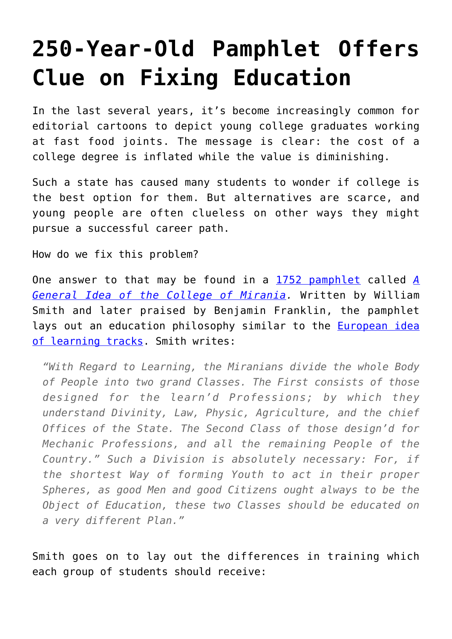## **[250-Year-Old Pamphlet Offers](https://intellectualtakeout.org/2016/08/250-year-old-pamphlet-offers-clue-on-fixing-education/) [Clue on Fixing Education](https://intellectualtakeout.org/2016/08/250-year-old-pamphlet-offers-clue-on-fixing-education/)**

In the last several years, it's become increasingly common for editorial cartoons to depict young college graduates working at fast food joints. The message is clear: the cost of a college degree is inflated while the value is diminishing.

Such a state has caused many students to wonder if college is the best option for them. But alternatives are scarce, and young people are often clueless on other ways they might pursue a successful career path.

How do we fix this problem?

One answer to that may be found in a [1752 pamphlet](https://www.depts.ttu.edu/education/our-people/Faculty/additional_pages/duemer/epsy_5314_class_materials/Development-of-a-curriculum-in-the-early-American-colleges.pdf) called *[A](http://quod.lib.umich.edu/e/evans/N05612.0001.001/1:7?rgn=div1;view=fulltext) [General Idea of the College of Mirania](http://quod.lib.umich.edu/e/evans/N05612.0001.001/1:7?rgn=div1;view=fulltext).* Written by William Smith and later praised by Benjamin Franklin, the pamphlet lays out an education philosophy similar to the **[European idea](https://www.intellectualtakeout.org/blog/what-does-education-system-%E2%80%9Ctracks%E2%80%9D-look)** [of learning tracks.](https://www.intellectualtakeout.org/blog/what-does-education-system-%E2%80%9Ctracks%E2%80%9D-look) Smith writes:

*"With Regard to Learning, the Miranians divide the whole Body of People into two grand Classes. The First consists of those designed for the learn'd Professions; by which they understand Divinity, Law, Physic, Agriculture, and the chief Offices of the State. The Second Class of those design'd for Mechanic Professions, and all the remaining People of the Country." Such a Division is absolutely necessary: For, if the shortest Way of forming Youth to act in their proper Spheres, as good Men and good Citizens ought always to be the Object of Education, these two Classes should be educated on a very different Plan."*

Smith goes on to lay out the differences in training which each group of students should receive: